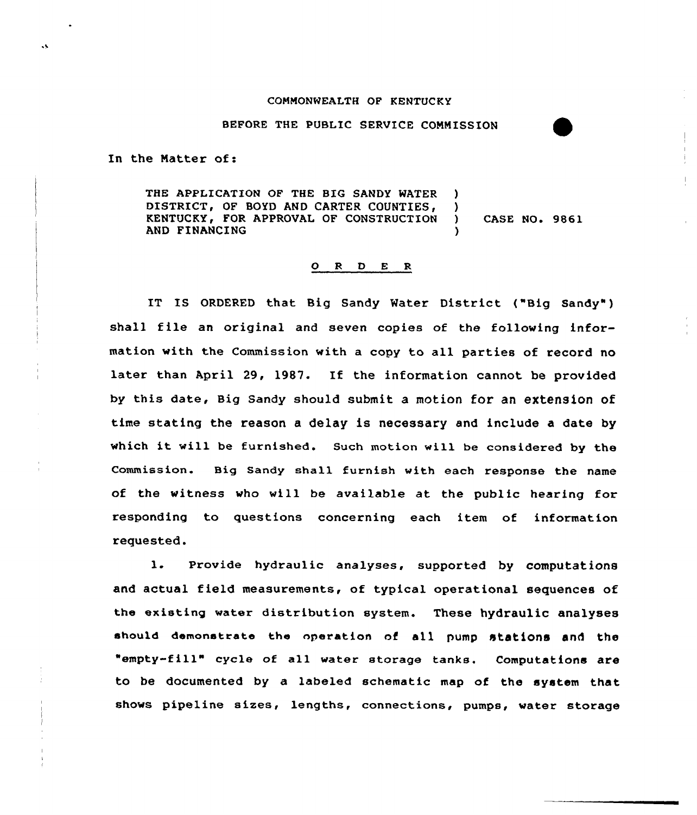## COMMONWEALTH OF KENTUCKY

## BEFORE THE PUBLIC SERVICE CONNISSION

In the Natter of:

THE APPLICATION OF THE BIG SANDY WATER ) DISTRICT, OF BOYD AND CARTER COUNTIES, )<br>KENTUCKY, FOR APPROVAL OF CONSTRUCTION ) KENTUCKY, FOR APPROVAL OF CONSTRUCTION ) CASE NO. 9861 AND FINANCING

## 0 <sup>R</sup> 0 <sup>E</sup> <sup>R</sup>

IT IS ORDERED that Big Sandy Water District {"Big Sandy" ) shall file an original and seven copies of the following information with the Commission with a copy to all parties of record no later than April 29, 1987. If the information cannot be provided by this date, Big sandy should submit a motion for an extension of time stating the reason a delay is necessary and include a date by which it will be furnished. Such motion will be considered by the Commission. Big Sandy shall furnish with each response the name of the witness who will be available at the public hearing for responding to questions concerning each item of information requested.

l. Provide hydraulic analyses, supported by computations and actual field measurements, of typical operational sequences of the existing water distribution system. These hydraulic analyses should demonstrate the operation of all pump htations and the "empty-fill" cycle of all water storage tanks. Computations are to be documented by a labeled schematic map of the system that shows pipeline sizes, lengths, connections, pumps, water storage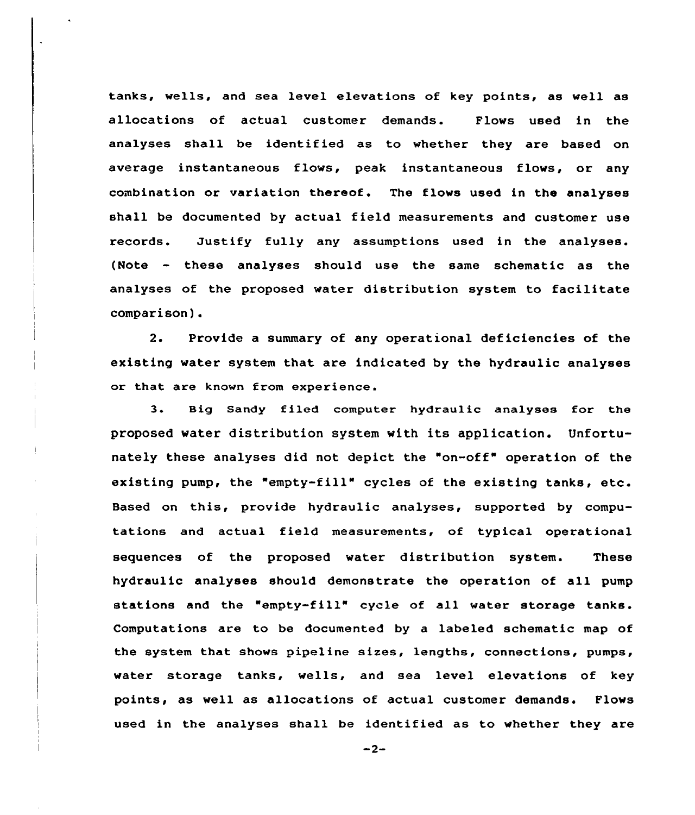tanks, wells, and sea level elevations of key points, as well as allocations of actual customer demands. Flows used in the analyses shall be identified as to whether they are based on average instantaneous flows, peak instantaneous flows, or any combination or variation thereof. The flows used in the analyses shall be documented by actual field measurements and customer use records. Justify fully any assumptions used in the analyses. (Note - these analyses should use the same schematic as the analyses of the proposed water distribution system to facilitate comparison).

2. Provide a summary of any operational deficiencies of the existing water system that are indicated by the hydraulic analyses or that are known from experience.

3. Big Sandy filed computer hydraulic analyses for the proposed water distribution system with its application. Unfortunately these analyses did not depict the "on-off" operation of the existing pump, the "empty-fill" cycles of the existing tanks, etc. Based on this, provide hydraulic analyses, supported by computations and actual field measurements, of typical operational sequences of the proposed water distribution system. These hydraulic analyses should demonstrate the operation of all pump stations and the "empty-fill" cycle of all water storage tanks. Computations are to be documented by a labeled schematic map of the system that shows pipeline sizes, lengths, connections, pumps, water storage tanks, wells, and sea level elevations of key points, as well as allocations of actual customer demands. Flows used in the analyses shall be identified as to whether they are

 $-2-$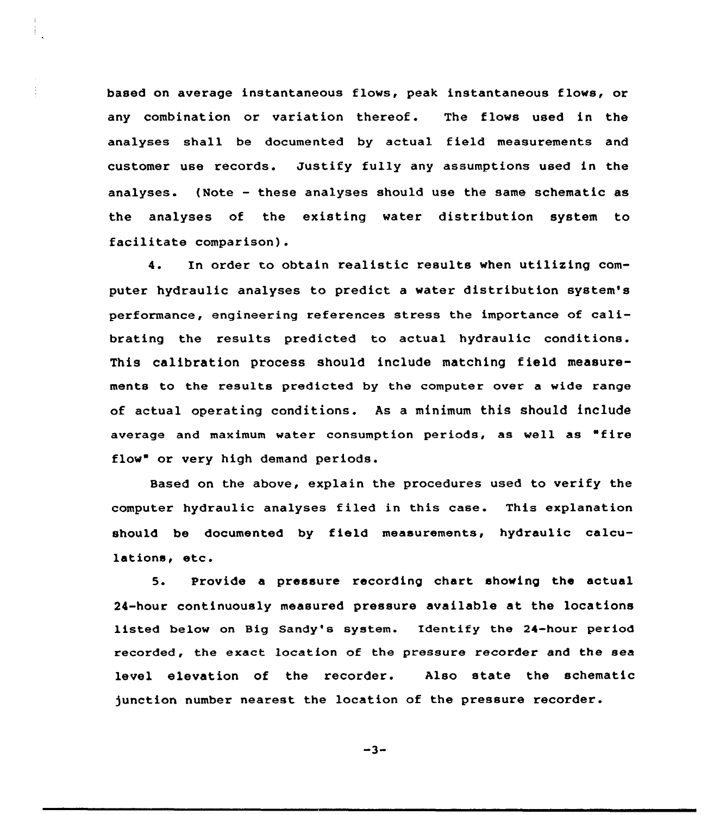based on average instantaneous flows, peak instantaneous flows, or any combination or variation thereof. The flows used in the analyses shall be documented by actual field measurements and customer use records. Justify fully any assumptions used in the analyses. (Note — these analyses should use the same schematic as the analyses of the existing water distribution system to facilitate comparison).

4. In order to obtain realistic results when utilizing computer hydraulic analyses to predict a water distribution system's performance, engineering references stress the importance of calibrating the results predicted to actual hydraulic conditions. This calibration process should include matching field measurements to the results predicted by the computer over a wide range of actual operating conditions. As a minimum this should include average and maximum water consumption periods, as well as "fire flow" or very high demand periods.

Based on the above, explain the procedures used to verify the computer hydraulic analyses filed in this case. This explanation should be documented by field measurements, hydraulic calculations, etc.

5. Provide a pressure recording chart showing the actual 24-hour continuously measured pressure available at the locations listed below on Big Sandy's system. Identify the 24-hour period recorded, the exact location of the pressure recorder and the sea level elevation of the recorder. Also state the schematic )unction number nearest the location of the pressure recorder.

 $-3-$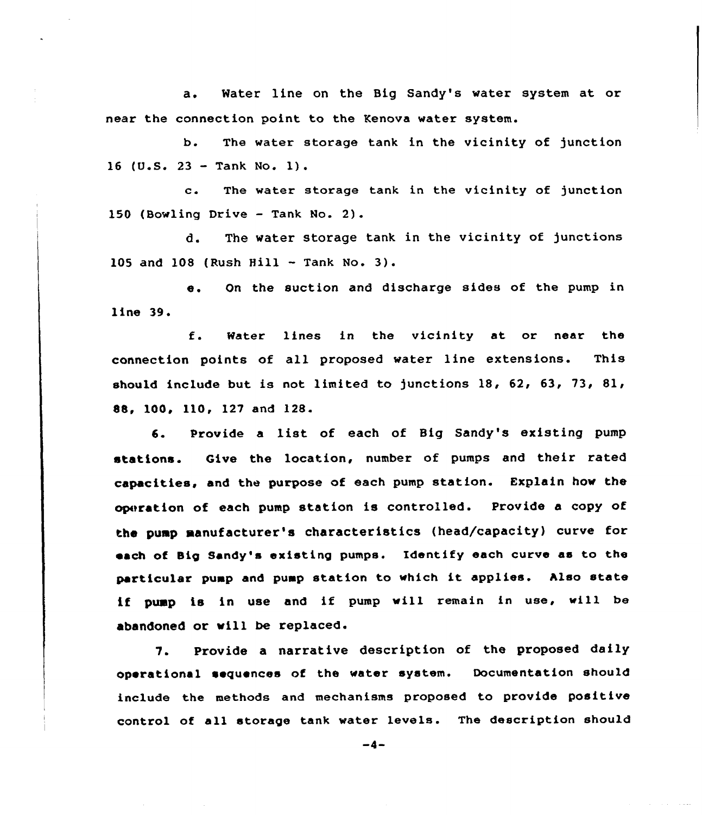a. Water line on the Big Sandy's water system at or near the connection point to the Kenova water system.

b. The water storage tank in the vicinity of junction <sup>16</sup> (U.S. <sup>23</sup> — Tank No. 1).

c. The water storage tank in the vicinity of junction 150 (Bowling Drive — Tank No. 2).

d. The water storage tank in the vicinity of junctions 10S and 108 (Rush Hill — Tank No. 3).

e. On the suction and discharge sides of the pump in line 39.

f. Water lines in the vicinity at or near the connection points of all proposed water line extensions. This should include but is not limited to junctions 18, 62, 63, 73, 81, 88, 100, 110, 127 and 128.

6. Provide <sup>a</sup> list of each of Big Sandy's existing pump stations. Give the location, number of pumps and their rated capacities, and the purpose of each pump station. Explain how the operation of each pump station is controlled. Provide a copy of the pump manufacturer's characteristics (head/capacity) curve for each of Big Sandy's existing pumps. Identify each curve as to the particular pump and pump station to which it applies. hlso state if pump is in use and if pump will remain in use, will be abandoned or will be replaced.

7. Provide a narrative description of the proposed daily operational sequences of the water system. Documentation should include the methods and mechanisms proposed to provide positive control of all storage tank water levels. The description should

 $-4-$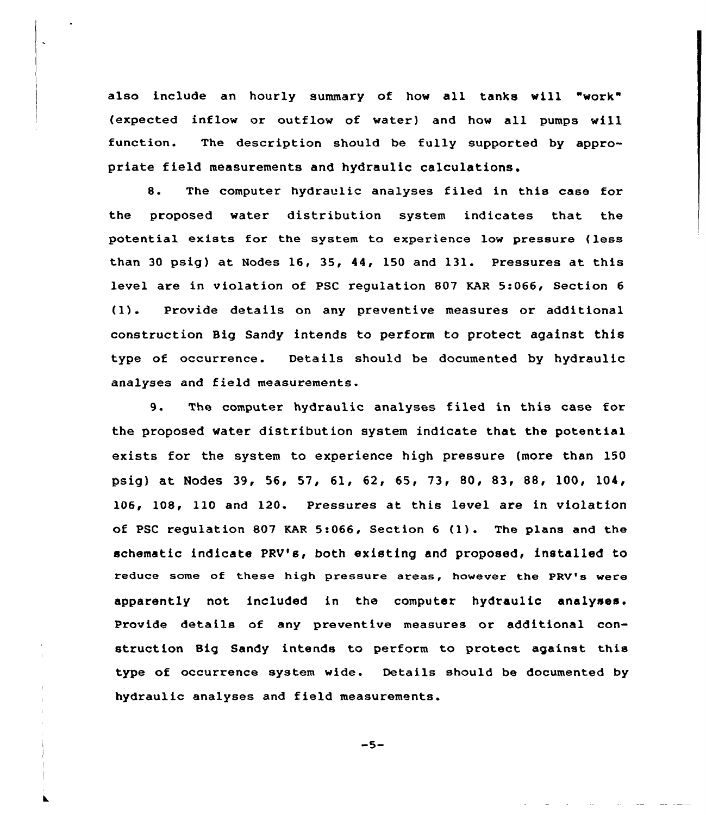also include an hourly summary of how all tanks will "work" {expected inflow ox outflow of water) and how all pumps will function. The description should be fully supported by appropriate field measurements and hydraulic calculations.

8. The computer hydraulic analyses filed in this case for the proposed water distribution system indicates that the potential exists for the system to experience low pressure (less than 30 psig) at Nodes 16, 35, 44, 150 and 131. Pressures at this level are in violation of PSC regulation 807 KAR 5:066, Section <sup>6</sup> {1). Provide details on any preventive measures or additional construction Big Sandy intends to perform to protect against this type of occurrence. Details should be documented by hydraulic analyses and field measurements.

9. The computer hydraulic analyses filed in this case for the proposed water distribution system indicate that the potential exists for the system to experience high pressure {more than 150 psig) at Nodes 39, 56, 57, 61, 62, 65, 73, 80, 83, 88, 100, 104, 106, 108, 110 and 120. Pressures at this level are in violation of PSC regulation <sup>807</sup> KAR 5:066, Section <sup>6</sup> {1). The plans and the schematic indicate PRV's, both existing and proposed, installed to reduce some of these high pressure areas, however the PRV's were apparently not included in the computer hydraulic analyses. Provide details of any preventive measures or additional construction Big Sandy intends to perform to protect against this type of occurrence system wide. Details should be documented by hydraulic analyses and field measurements.

 $-5-$